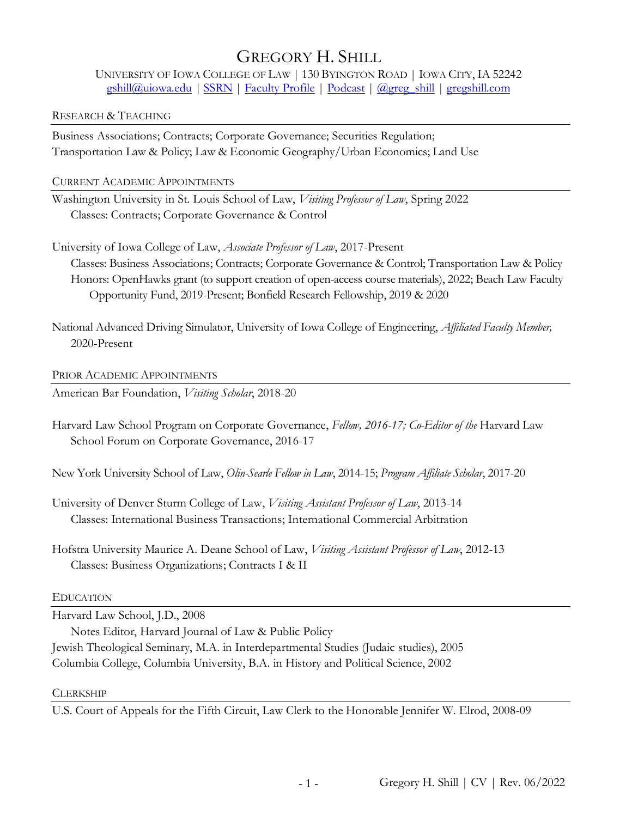# GREGORY H. SHILL

UNIVERSITY OF IOWA COLLEGE OF LAW | 130 BYINGTON ROAD | IOWA CITY, IA 52242 [gshill@uiowa.edu](mailto:gshill@uiowa.edu) | [SSRN](http://ssrn.com/author=887547) | [Faculty Profile](https://law.uiowa.edu/gregory-shill) [| Podcast](http://denselyspeaking.com/) | [@greg\\_shill](https://twitter.com/greg_shill) [| gregshill.com](http://www.gregshill.com/)

## RESEARCH & TEACHING

Business Associations; Contracts; Corporate Governance; Securities Regulation; Transportation Law & Policy; Law & Economic Geography/Urban Economics; Land Use

CURRENT ACADEMIC APPOINTMENTS

Washington University in St. Louis School of Law, *Visiting Professor of Law*, Spring 2022 Classes: Contracts; Corporate Governance & Control

University of Iowa College of Law, *Associate Professor of Law*, 2017-Present Classes: Business Associations; Contracts; Corporate Governance & Control; Transportation Law & Policy Honors: OpenHawks grant (to support creation of open-access course materials), 2022; Beach Law Faculty Opportunity Fund, 2019-Present; Bonfield Research Fellowship, 2019 & 2020

National Advanced Driving Simulator, University of Iowa College of Engineering, *Affiliated Faculty Member,* 2020-Present

PRIOR ACADEMIC APPOINTMENTS

American Bar Foundation, *Visiting Scholar*, 2018-20

Harvard Law School Program on Corporate Governance, *Fellow, 2016-17; Co-Editor of the* Harvard Law School Forum on Corporate Governance, 2016-17

New York University School of Law, *Olin-Searle Fellow in Law*, 2014-15; *Program Affiliate Scholar*, 2017-20

University of Denver Sturm College of Law, *Visiting Assistant Professor of Law*, 2013-14 Classes: International Business Transactions; International Commercial Arbitration

Hofstra University Maurice A. Deane School of Law, *Visiting Assistant Professor of Law*, 2012-13 Classes: Business Organizations; Contracts I & II

# EDUCATION

Harvard Law School, J.D., 2008

Notes Editor, Harvard Journal of Law & Public Policy Jewish Theological Seminary, M.A. in Interdepartmental Studies (Judaic studies), 2005 Columbia College, Columbia University, B.A. in History and Political Science, 2002

# **CLERKSHIP**

U.S. Court of Appeals for the Fifth Circuit, Law Clerk to the Honorable Jennifer W. Elrod, 2008-09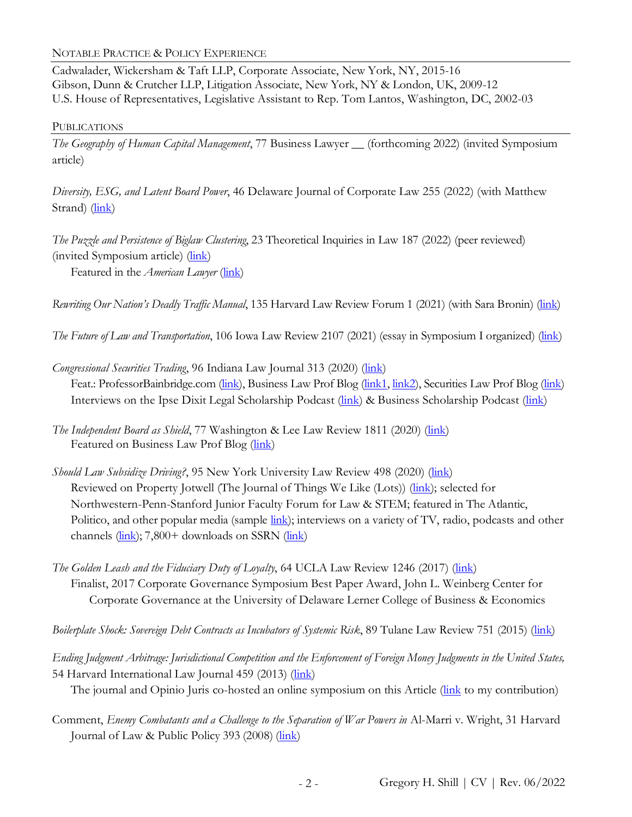NOTABLE PRACTICE & POLICY EXPERIENCE

Cadwalader, Wickersham & Taft LLP, Corporate Associate, New York, NY, 2015-16 Gibson, Dunn & Crutcher LLP, Litigation Associate, New York, NY & London, UK, 2009-12 U.S. House of Representatives, Legislative Assistant to Rep. Tom Lantos, Washington, DC, 2002-03

#### PUBLICATIONS

*The Geography of Human Capital Management*, 77 Business Lawyer \_\_ (forthcoming 2022) (invited Symposium article)

*Diversity, ESG, and Latent Board Power*, 46 Delaware Journal of Corporate Law 255 (2022) (with Matthew Strand) [\(link\)](https://papers.ssrn.com/sol3/papers.cfm?abstract_id=3917521)

*The Puzzle and Persistence of Biglaw Clustering*, 23 Theoretical Inquiries in Law 187 (2022) (peer reviewed) (invited Symposium article) [\(link\)](https://papers.ssrn.com/sol3/papers.cfm?abstract_id=3760779)

Featured in the *American Lawyer* [\(link\)](https://www.law.com/americanlawyer/2021/06/14/skepticism-remains-over-big-laws-remote-work-flexibility/?region=/international-edition/region/asia-pacific/)

*Rewriting Our Nation's Deadly Traffic Manual*, 135 Harvard Law Review Forum 1 (2021) (with Sara Bronin) [\(link\)](https://harvardlawreview.org/2021/10/rewriting-our-nations-deadly-traffic-manual/)

*The Future of Law and Transportation*, 106 Iowa Law Review 2107 (2021) (essay in Symposium I organized) [\(link\)](https://ilr.law.uiowa.edu/print/volume-106-issue-5/the-future-of-law-and-transportation/)

*Congressional Securities Trading*, 96 Indiana Law Journal 313 (2020) [\(link\)](http://ssrn.com/abstract=3570314) Feat.: ProfessorBainbridge.com [\(link\)](https://lawprofessors.typepad.com/securities/2021/03/shill-on-congressional-securities-trading.html), Business Law Prof Blog [\(link1,](https://lawprofessors.typepad.com/business_law/2020/04/new-paper-congressional-securities-trading.html) [link2\)](https://lawprofessors.typepad.com/business_law/2021/08/congressional-securities-trading-senator-pauls-tardy-trade-disclosure.html), Securities Law Prof Blog (link) Interviews on the Ipse Dixit Legal Scholarship Podcast [\(link\)](https://andrewkjennings.com/2020/03/23/special-series-on-the-2020-crisis/) & Business Scholarship Podcast (link)

- *The Independent Board as Shield*, 77 Washington & Lee Law Review 1811 (2020) [\(link\)](https://scholarlycommons.law.wlu.edu/wlulr/vol77/iss4/8/) Featured on Business Law Prof Blog [\(link\)](https://lawprofessors.typepad.com/business_law/2021/03/director-independence-as-a-double-edged-sword.html)
- *Should Law Subsidize Driving?*, 95 New York University Law Review 498 (2020) [\(link\)](https://www.nyulawreview.org/issues/volume-95-number-2/should-law-subsidize-driving/) Reviewed on Property Jotwell (The Journal of Things We Like (Lots)) [\(link\)](https://property.jotwell.com/did-you-know-that-youre-paying-part-of-the-cost-of-my-car/); selected for Northwestern-Penn-Stanford Junior Faculty Forum for Law & STEM; featured in The Atlantic, Politico, and other popular media (sample [link\)](https://plu.mx/ssrn/a/news?ssrn_id=3345366); interviews on a variety of TV, radio, podcasts and other channels [\(link\)](https://papers.ssrn.com/sol3/papers.cfm?abstract_id=3345366); 7,800+ downloads on SSRN (link)
- *The Golden Leash and the Fiduciary Duty of Loyalty*, 64 UCLA Law Review 1246 (2017) (*link*) Finalist, 2017 Corporate Governance Symposium Best Paper Award, John L. Weinberg Center for Corporate Governance at the University of Delaware Lerner College of Business & Economics

*Boilerplate Shock: Sovereign Debt Contracts as Incubators of Systemic Risk*, 89 Tulane Law Review 751 (2015) [\(link\)](https://ssrn.com/abstract=2403695)

*Ending Judgment Arbitrage: Jurisdictional Competition and the Enforcement of Foreign Money Judgments in the United States,* 54 Harvard International Law Journal 459 (2013) [\(link\)](https://harvardilj.org/wp-content/uploads/sites/15/2013/10/HILJ_54-2_Shill.pdf)

The journal and Opinio Juris co-hosted an online symposium on this Article [\(link](http://opiniojuris.org/2014/04/02/hilj-online-symposium-greg-shill-responds-christopher-whytock/) to my contribution)

Comment, *Enemy Combatants and a Challenge to the Separation of War Powers in* Al-Marri v. Wright, 31 Harvard Journal of Law & Public Policy 393 (2008) [\(link\)](https://ssrn.com/abstract=1026727)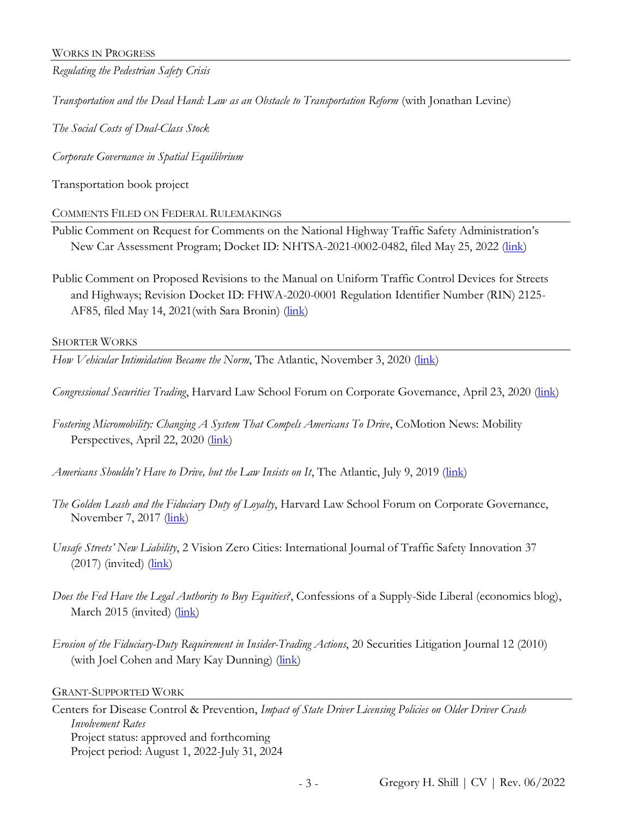*Regulating the Pedestrian Safety Crisis*

*Transportation and the Dead Hand: Law as an Obstacle to Transportation Reform* (with Jonathan Levine)

*The Social Costs of Dual-Class Stock*

*Corporate Governance in Spatial Equilibrium*

Transportation book project

COMMENTS FILED ON FEDERAL RULEMAKINGS

Public Comment on Request for Comments on the National Highway Traffic Safety Administration's New Car Assessment Program; Docket ID: NHTSA-2021-0002-0482, filed May 25, 2022 [\(link\)](https://papers.ssrn.com/sol3/papers.cfm?abstract_id=4120803)

Public Comment on Proposed Revisions to the Manual on Uniform Traffic Control Devices for Streets and Highways; Revision Docket ID: FHWA-2020-0001 Regulation Identifier Number (RIN) 2125- AF85, filed May 14, 2021 (with Sara Bronin) [\(link\)](https://papers.ssrn.com/sol3/papers.cfm?abstract_id=3846597)

SHORTER WORKS

*How Vehicular Intimidation Became the Norm*, The Atlantic, November 3, 2020 (*link*)

*Congressional Securities Trading*, Harvard Law School Forum on Corporate Governance, April 23, 2020 [\(link\)](https://corpgov.law.harvard.edu/2020/04/23/congressional-securities-trading/)

*Fostering Micromobility: Changing A System That Compels Americans To Drive*, CoMotion News: Mobility Perspectives, April 22, 2020 [\(link\)](https://comotionnews.com/2020/04/22/fostering-micromobility-changing-a-system-that-compels-americans-to-drive/)

*Americans Shouldn't Have to Drive, but the Law Insists on It*, The Atlantic, July 9, 2019 [\(link\)](https://www.theatlantic.com/ideas/archive/2019/07/car-crashes-arent-always-unavoidable/592447/)

*The Golden Leash and the Fiduciary Duty of Loyalty*, Harvard Law School Forum on Corporate Governance, November 7, 2017 [\(link\)](http://corpgov.law.harvard.edu/2017/11/08/the-golden-leash-and-the-fiduciary-duty-of-loyalty/)

*Unsafe Streets' New Liability*, 2 Vision Zero Cities: International Journal of Traffic Safety Innovation 37  $(2017)$  (invited)  $(\frac{link}{\ell})$ 

*Does the Fed Have the Legal Authority to Buy Equities?*, Confessions of a Supply-Side Liberal (economics blog), March 2015 (invited) [\(link\)](https://papers.ssrn.com/sol3/papers.cfm?abstract_id=2882932)

*Erosion of the Fiduciary-Duty Requirement in Insider-Trading Actions*, 20 Securities Litigation Journal 12 (2010) (with Joel Cohen and Mary Kay Dunning) (*link*)

GRANT-SUPPORTED WORK

Centers for Disease Control & Prevention, *Impact of State Driver Licensing Policies on Older Driver Crash Involvement Rates* Project status: approved and forthcoming Project period: August 1, 2022-July 31, 2024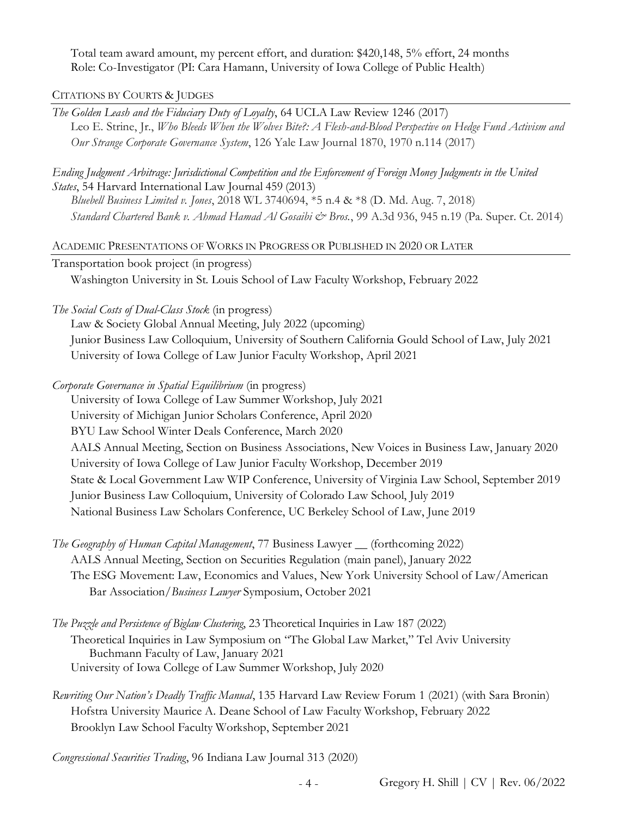Total team award amount, my percent effort, and duration: \$420,148, 5% effort, 24 months Role: Co-Investigator (PI: Cara Hamann, University of Iowa College of Public Health)

CITATIONS BY COURTS & JUDGES

*The Golden Leash and the Fiduciary Duty of Loyalty*, 64 UCLA Law Review 1246 (2017) Leo E. Strine, Jr., *Who Bleeds When the Wolves Bite?: A Flesh-and-Blood Perspective on Hedge Fund Activism and Our Strange Corporate Governance System*, 126 Yale Law Journal 1870, 1970 n.114 (2017)

*Ending Judgment Arbitrage: Jurisdictional Competition and the Enforcement of Foreign Money Judgments in the United States*, 54 Harvard International Law Journal 459 (2013)

*Bluebell Business Limited v. Jones*, 2018 WL 3740694, \*5 n.4 & \*8 (D. Md. Aug. 7, 2018) *Standard Chartered Bank v. Ahmad Hamad Al Gosaibi & Bros.*, 99 A.3d 936, 945 n.19 (Pa. Super. Ct. 2014)

ACADEMIC PRESENTATIONS OF WORKS IN PROGRESS OR PUBLISHED IN 2020 OR LATER

Transportation book project (in progress)

Washington University in St. Louis School of Law Faculty Workshop, February 2022

*The Social Costs of Dual-Class Stock* (in progress)

Law & Society Global Annual Meeting, July 2022 (upcoming) Junior Business Law Colloquium, University of Southern California Gould School of Law, July 2021 University of Iowa College of Law Junior Faculty Workshop, April 2021

*Corporate Governance in Spatial Equilibrium* (in progress)

University of Iowa College of Law Summer Workshop, July 2021 University of Michigan Junior Scholars Conference, April 2020 BYU Law School Winter Deals Conference, March 2020 AALS Annual Meeting, Section on Business Associations, New Voices in Business Law, January 2020 University of Iowa College of Law Junior Faculty Workshop, December 2019 State & Local Government Law WIP Conference, University of Virginia Law School, September 2019 Junior Business Law Colloquium, University of Colorado Law School, July 2019 National Business Law Scholars Conference, UC Berkeley School of Law, June 2019

- *The Geography of Human Capital Management*, 77 Business Lawyer \_\_ (forthcoming 2022) AALS Annual Meeting, Section on Securities Regulation (main panel), January 2022 The ESG Movement: Law, Economics and Values, New York University School of Law/American Bar Association/*Business Lawyer* Symposium, October 2021
- *The Puzzle and Persistence of Biglaw Clustering*, 23 Theoretical Inquiries in Law 187 (2022) Theoretical Inquiries in Law Symposium on "The Global Law Market," Tel Aviv University Buchmann Faculty of Law, January 2021 University of Iowa College of Law Summer Workshop, July 2020
- *Rewriting Our Nation's Deadly Traffic Manual*, 135 Harvard Law Review Forum 1 (2021) (with Sara Bronin) Hofstra University Maurice A. Deane School of Law Faculty Workshop, February 2022 Brooklyn Law School Faculty Workshop, September 2021

*Congressional Securities Trading*, 96 Indiana Law Journal 313 (2020)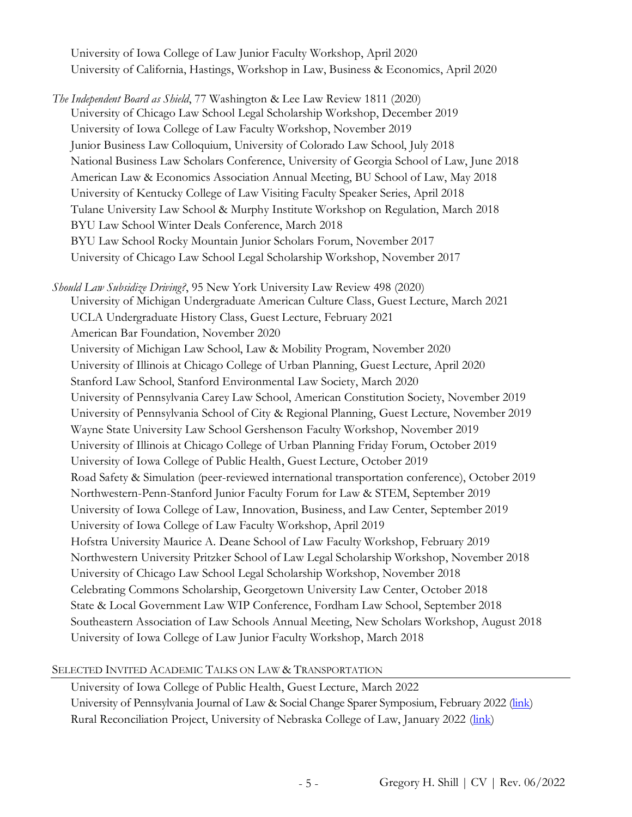University of Iowa College of Law Junior Faculty Workshop, April 2020 University of California, Hastings, Workshop in Law, Business & Economics, April 2020

*The Independent Board as Shield*, 77 Washington & Lee Law Review 1811 (2020) University of Chicago Law School Legal Scholarship Workshop, December 2019 University of Iowa College of Law Faculty Workshop, November 2019 Junior Business Law Colloquium, University of Colorado Law School, July 2018 National Business Law Scholars Conference, University of Georgia School of Law, June 2018 American Law & Economics Association Annual Meeting, BU School of Law, May 2018 University of Kentucky College of Law Visiting Faculty Speaker Series, April 2018 Tulane University Law School & Murphy Institute Workshop on Regulation, March 2018 BYU Law School Winter Deals Conference, March 2018 BYU Law School Rocky Mountain Junior Scholars Forum, November 2017 University of Chicago Law School Legal Scholarship Workshop, November 2017

*Should Law Subsidize Driving?*, 95 New York University Law Review 498 (2020) University of Michigan Undergraduate American Culture Class, Guest Lecture, March 2021 UCLA Undergraduate History Class, Guest Lecture, February 2021 American Bar Foundation, November 2020 University of Michigan Law School, Law & Mobility Program, November 2020 University of Illinois at Chicago College of Urban Planning, Guest Lecture, April 2020 Stanford Law School, Stanford Environmental Law Society, March 2020 University of Pennsylvania Carey Law School, American Constitution Society, November 2019 University of Pennsylvania School of City & Regional Planning, Guest Lecture, November 2019 Wayne State University Law School Gershenson Faculty Workshop, November 2019 University of Illinois at Chicago College of Urban Planning Friday Forum, October 2019 University of Iowa College of Public Health, Guest Lecture, October 2019 Road Safety & Simulation (peer-reviewed international transportation conference), October 2019 Northwestern-Penn-Stanford Junior Faculty Forum for Law & STEM, September 2019 University of Iowa College of Law, Innovation, Business, and Law Center, September 2019 University of Iowa College of Law Faculty Workshop, April 2019 Hofstra University Maurice A. Deane School of Law Faculty Workshop, February 2019 Northwestern University Pritzker School of Law Legal Scholarship Workshop, November 2018 University of Chicago Law School Legal Scholarship Workshop, November 2018 Celebrating Commons Scholarship, Georgetown University Law Center, October 2018 State & Local Government Law WIP Conference, Fordham Law School, September 2018 Southeastern Association of Law Schools Annual Meeting, New Scholars Workshop, August 2018 University of Iowa College of Law Junior Faculty Workshop, March 2018

#### SELECTED INVITED ACADEMIC TALKS ON LAW & TRANSPORTATION

University of Iowa College of Public Health, Guest Lecture, March 2022 University of Pennsylvania Journal of Law & Social Change Sparer Symposium, February 2022 [\(link\)](https://www.youtube.com/watch?v=4kg7h4V96S4&t=28s) Rural Reconciliation Project, University of Nebraska College of Law, January 2022 [\(link\)](https://www.ruralreconcile.org/ruralreview/shill-transportation)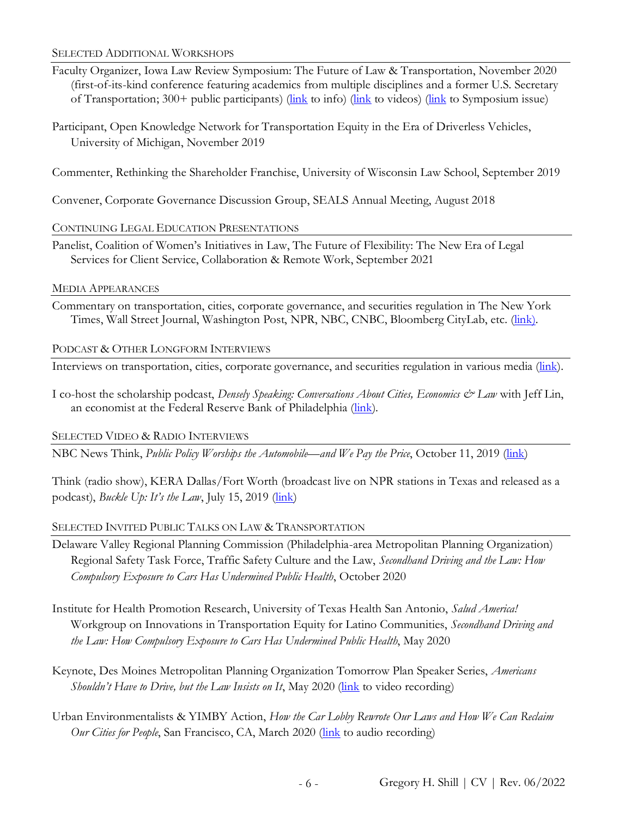#### SELECTED ADDITIONAL WORKSHOPS

- Faculty Organizer, Iowa Law Review Symposium: The Future of Law & Transportation, November 2020 (first-of-its-kind conference featuring academics from multiple disciplines and a former U.S. Secretary of Transportation; 300+ public participants) ( $\frac{\ln k}{\ln k}$  to info) ( $\frac{\ln k}{\ln k}$  to symposium issue)
- Participant, Open Knowledge Network for Transportation Equity in the Era of Driverless Vehicles, University of Michigan, November 2019

Commenter, Rethinking the Shareholder Franchise, University of Wisconsin Law School, September 2019

Convener, Corporate Governance Discussion Group, SEALS Annual Meeting, August 2018

## CONTINUING LEGAL EDUCATION PRESENTATIONS

Panelist, Coalition of Women's Initiatives in Law, The Future of Flexibility: The New Era of Legal Services for Client Service, Collaboration & Remote Work, September 2021

## MEDIA APPEARANCES

Commentary on transportation, cities, corporate governance, and securities regulation in The New York Times, Wall Street Journal, Washington Post, NPR, NBC, CNBC, Bloomberg CityLab, etc. [\(link\)](https://gregshill.wordpress.com/media/).

## PODCAST & OTHER LONGFORM INTERVIEWS

Interviews on transportation, cities, corporate governance, and securities regulation in various media [\(link\)](https://gregshill.wordpress.com/interviews/).

I co-host the scholarship podcast, *Densely Speaking: Conversations About Cities, Economics & Law* with Jeff Lin, an economist at the Federal Reserve Bank of Philadelphia [\(link\)](http://www.denselyspeaking.com/).

# SELECTED VIDEO & RADIO INTERVIEWS

NBC News Think, *Public Policy Worships the Automobile—and We Pay the Price*, October 11, 2019 [\(link\)](https://www.nbcnews.com/think/video/public-policy-worships-the-automobile-and-we-pay-the-price-71086149892)

Think (radio show), KERA Dallas/Fort Worth (broadcast live on NPR stations in Texas and released as a podcast), *Buckle Up: It's the Law*, July 15, 2019 (*link*)

# SELECTED INVITED PUBLIC TALKS ON LAW & TRANSPORTATION

- Delaware Valley Regional Planning Commission (Philadelphia-area Metropolitan Planning Organization) Regional Safety Task Force, Traffic Safety Culture and the Law, *Secondhand Driving and the Law: How Compulsory Exposure to Cars Has Undermined Public Health*, October 2020
- Institute for Health Promotion Research, University of Texas Health San Antonio, *Salud America!* Workgroup on Innovations in Transportation Equity for Latino Communities, *Secondhand Driving and the Law: How Compulsory Exposure to Cars Has Undermined Public Health*, May 2020
- Keynote, Des Moines Metropolitan Planning Organization Tomorrow Plan Speaker Series, *Americans Shouldn't Have to Drive, but the Law Insists on It, May 2020 [\(link](https://tomorrowplanspeakerseries.org/greg-shill/) to video recording)*
- Urban Environmentalists & YIMBY Action, *How the Car Lobby Rewrote Our Laws and How We Can Reclaim Our Cities for People*, San Francisco, CA, March 2020 (*link* to audio recording)